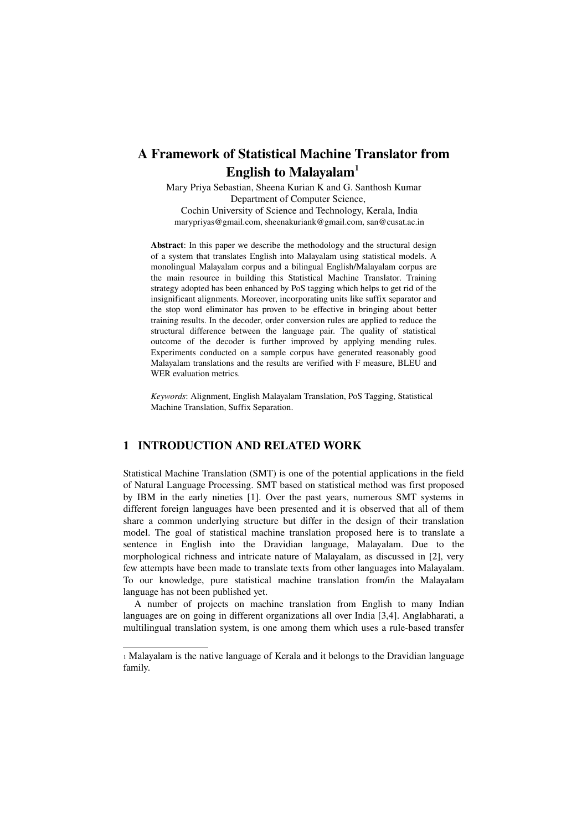# A Framework of Statistical Machine Translator from English to Malayalam<sup>[1](#page-0-0)</sup>

Mary Priya Sebastian, Sheena Kurian K and G. Santhosh Kumar Department of Computer Science, Cochin University of Science and Technology, Kerala, India marypriyas@gmail.com, sheenakuriank@gmail.com, san@cusat.ac.in

Abstract: In this paper we describe the methodology and the structural design of a system that translates English into Malayalam using statistical models. A monolingual Malayalam corpus and a bilingual English/Malayalam corpus are the main resource in building this Statistical Machine Translator. Training strategy adopted has been enhanced by PoS tagging which helps to get rid of the insignificant alignments. Moreover, incorporating units like suffix separator and the stop word eliminator has proven to be effective in bringing about better training results. In the decoder, order conversion rules are applied to reduce the structural difference between the language pair. The quality of statistical outcome of the decoder is further improved by applying mending rules. Experiments conducted on a sample corpus have generated reasonably good Malayalam translations and the results are verified with F measure, BLEU and WER evaluation metrics.

*Keywords*: Alignment, English Malayalam Translation, PoS Tagging, Statistical Machine Translation, Suffix Separation.

### 1 INTRODUCTION AND RELATED WORK

Statistical Machine Translation (SMT) is one of the potential applications in the field of Natural Language Processing. SMT based on statistical method was first proposed by IBM in the early nineties [1]. Over the past years, numerous SMT systems in different foreign languages have been presented and it is observed that all of them share a common underlying structure but differ in the design of their translation model. The goal of statistical machine translation proposed here is to translate a sentence in English into the Dravidian language, Malayalam. Due to the morphological richness and intricate nature of Malayalam, as discussed in [2], very few attempts have been made to translate texts from other languages into Malayalam. To our knowledge, pure statistical machine translation from/in the Malayalam language has not been published yet.

A number of projects on machine translation from English to many Indian languages are on going in different organizations all over India [3,4]. Anglabharati, a multilingual translation system, is one among them which uses a rule-based transfer

<span id="page-0-0"></span><sup>1</sup> Malayalam is the native language of Kerala and it belongs to the Dravidian language family.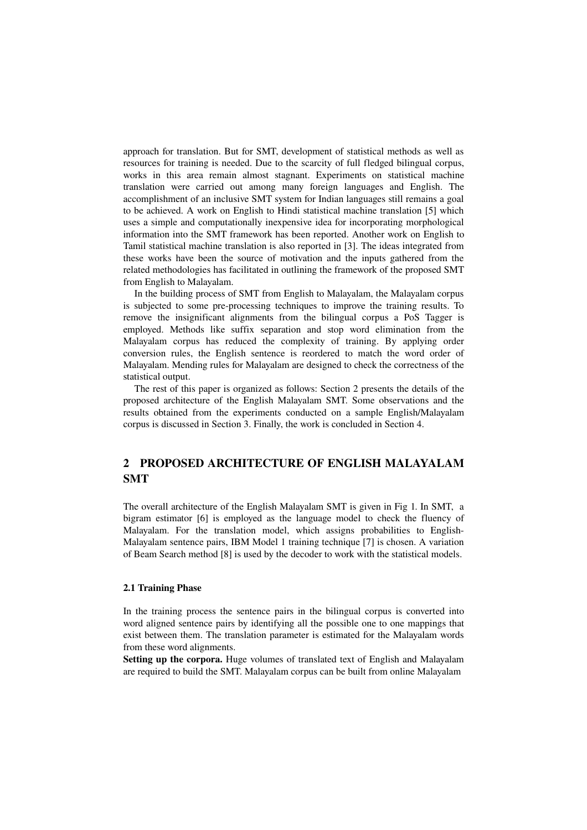approach for translation. But for SMT, development of statistical methods as well as resources for training is needed. Due to the scarcity of full fledged bilingual corpus, works in this area remain almost stagnant. Experiments on statistical machine translation were carried out among many foreign languages and English. The accomplishment of an inclusive SMT system for Indian languages still remains a goal to be achieved. A work on English to Hindi statistical machine translation [5] which uses a simple and computationally inexpensive idea for incorporating morphological information into the SMT framework has been reported. Another work on English to Tamil statistical machine translation is also reported in [3]. The ideas integrated from these works have been the source of motivation and the inputs gathered from the related methodologies has facilitated in outlining the framework of the proposed SMT from English to Malayalam.

In the building process of SMT from English to Malayalam, the Malayalam corpus is subjected to some pre-processing techniques to improve the training results. To remove the insignificant alignments from the bilingual corpus a PoS Tagger is employed. Methods like suffix separation and stop word elimination from the Malayalam corpus has reduced the complexity of training. By applying order conversion rules, the English sentence is reordered to match the word order of Malayalam. Mending rules for Malayalam are designed to check the correctness of the statistical output.

The rest of this paper is organized as follows: Section 2 presents the details of the proposed architecture of the English Malayalam SMT. Some observations and the results obtained from the experiments conducted on a sample English/Malayalam corpus is discussed in Section 3. Finally, the work is concluded in Section 4.

## 2 PROPOSED ARCHITECTURE OF ENGLISH MALAYALAM SMT

The overall architecture of the English Malayalam SMT is given in Fig 1. In SMT, a bigram estimator [6] is employed as the language model to check the fluency of Malayalam. For the translation model, which assigns probabilities to English-Malayalam sentence pairs, IBM Model 1 training technique [7] is chosen. A variation of Beam Search method [8] is used by the decoder to work with the statistical models.

#### 2.1 Training Phase

In the training process the sentence pairs in the bilingual corpus is converted into word aligned sentence pairs by identifying all the possible one to one mappings that exist between them. The translation parameter is estimated for the Malayalam words from these word alignments.

Setting up the corpora. Huge volumes of translated text of English and Malayalam are required to build the SMT. Malayalam corpus can be built from online Malayalam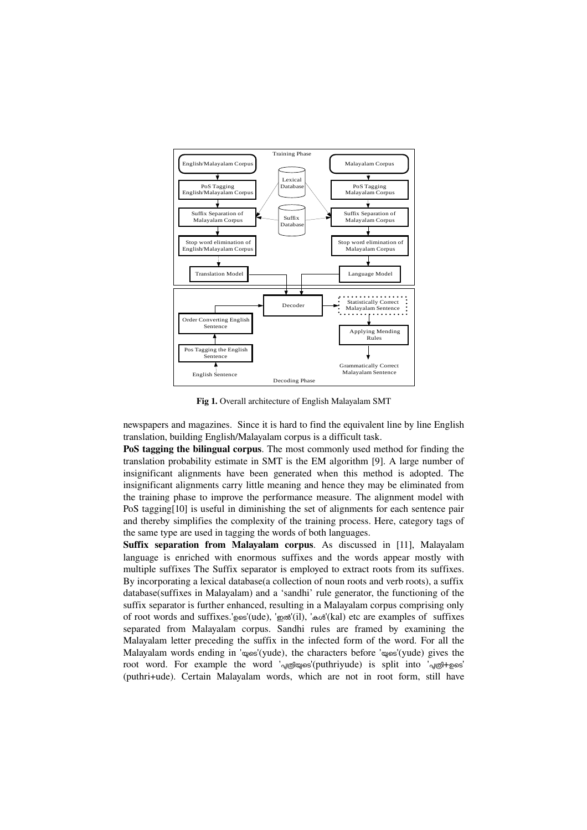

Fig 1. Overall architecture of English Malayalam SMT

newspapers and magazines. Since it is hard to find the equivalent line by line English translation, building English/Malayalam corpus is a difficult task.

PoS tagging the bilingual corpus. The most commonly used method for finding the translation probability estimate in SMT is the EM algorithm [9]. A large number of insignificant alignments have been generated when this method is adopted. The insignificant alignments carry little meaning and hence they may be eliminated from the training phase to improve the performance measure. The alignment model with PoS tagging[10] is useful in diminishing the set of alignments for each sentence pair and thereby simplifies the complexity of the training process. Here, category tags of the same type are used in tagging the words of both languages.

Suffix separation from Malayalam corpus. As discussed in [11], Malayalam language is enriched with enormous suffixes and the words appear mostly with multiple suffixes The Suffix separator is employed to extract roots from its suffixes. By incorporating a lexical database(a collection of noun roots and verb roots), a suffix database(suffixes in Malayalam) and a 'sandhi' rule generator, the functioning of the suffix separator is further enhanced, resulting in a Malayalam corpus comprising only of root words and suffixes.'ഉടെ'(ude), 'ഇൽ'(il), 'കൾ'(kal) etc are examples of suffixes separated from Malayalam corpus. Sandhi rules are framed by examining the Malayalam letter preceding the suffix in the infected form of the word. For all the Malayalam words ending in ' $\omega$ s'(yude), the characters before ' $\omega$ ss'(yude) gives the root word. For example the word '<sub>വ©</sub> mos' (puthriyude) is split into '<sub>വ©</sub> + pos' (puthri+ude). Certain Malayalam words, which are not in root form, still have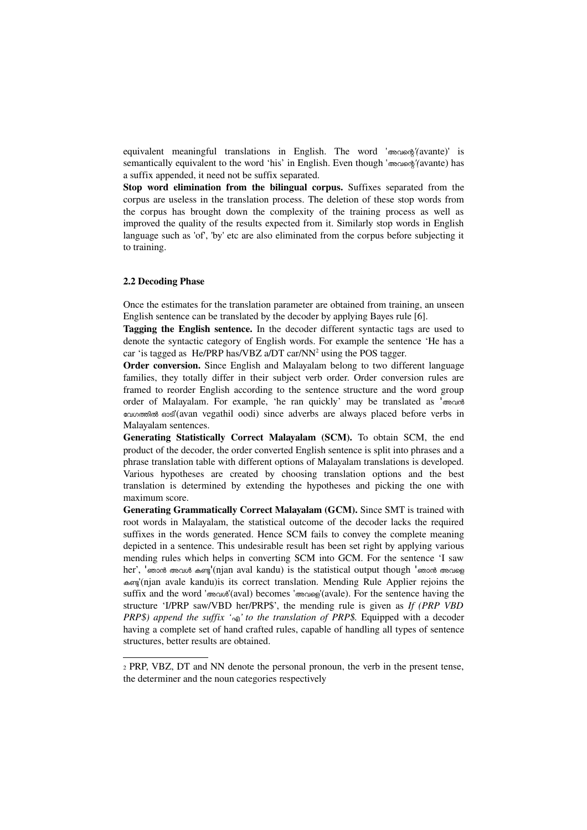equivalent meaningful translations in English. The word 'അവെെ*'(*avante)' is semantically equivalent to the word 'his' in English. Even though 'അവെെ*'(*avante) has a suffix appended, it need not be suffix separated.

Stop word elimination from the bilingual corpus. Suffixes separated from the corpus are useless in the translation process. The deletion of these stop words from the corpus has brought down the complexity of the training process as well as improved the quality of the results expected from it. Similarly stop words in English language such as 'of', 'by' etc are also eliminated from the corpus before subjecting it to training.

#### 2.2 Decoding Phase

Once the estimates for the translation parameter are obtained from training, an unseen English sentence can be translated by the decoder by applying Bayes rule [6].

Tagging the English sentence. In the decoder different syntactic tags are used to denote the syntactic category of English words. For example the sentence 'He has a car 'is tagged as He/PRP has/VBZ a/DT car/NN<sup>[2](#page-3-0)</sup> using the POS tagger.

Order conversion. Since English and Malayalam belong to two different language families, they totally differ in their subject verb order. Order conversion rules are framed to reorder English according to the sentence structure and the word group order of Malayalam. For example, 'he ran quickly' may be translated as 'അവൻ പേഗത്തിൽ ഓടി'(avan vegathil oodi) since adverbs are always placed before verbs in Malayalam sentences.

Generating Statistically Correct Malayalam (SCM). To obtain SCM, the end product of the decoder, the order converted English sentence is split into phrases and a phrase translation table with different options of Malayalam translations is developed. Various hypotheses are created by choosing translation options and the best translation is determined by extending the hypotheses and picking the one with maximum score.

Generating Grammatically Correct Malayalam (GCM). Since SMT is trained with root words in Malayalam, the statistical outcome of the decoder lacks the required suffixes in the words generated. Hence SCM fails to convey the complete meaning depicted in a sentence. This undesirable result has been set right by applying various mending rules which helps in converting SCM into GCM. For the sentence 'I saw her', 'ഞാൻ അവൾ കണ്ട'(njan aval kandu) is the statistical output though 'ഞാൻ അവളെ കണ'(njan avale kandu)is its correct translation. Mending Rule Applier rejoins the suffix and the word 'അവള'(aval) becomes 'അവെെ'(avale). For the sentence having the structure 'I/PRP saw/VBD her/PRP\$', the mending rule is given as *If (PRP VBD PRP\$) append the suffix '* $\omega$ <sup>'</sup> *to the translation of PRP\$*. Equipped with a decoder having a complete set of hand crafted rules, capable of handling all types of sentence structures, better results are obtained.

<span id="page-3-0"></span><sup>2</sup> PRP, VBZ, DT and NN denote the personal pronoun, the verb in the present tense, the determiner and the noun categories respectively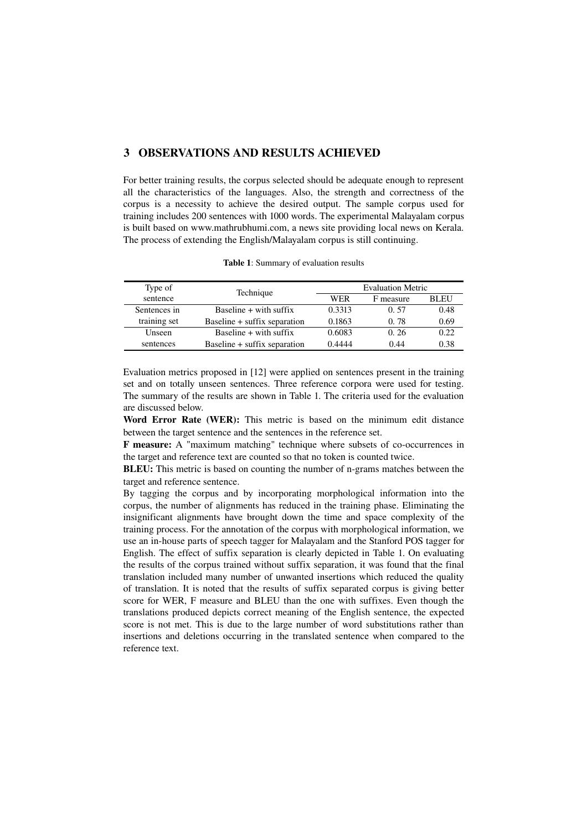## 3 OBSERVATIONS AND RESULTS ACHIEVED

For better training results, the corpus selected should be adequate enough to represent all the characteristics of the languages. Also, the strength and correctness of the corpus is a necessity to achieve the desired output. The sample corpus used for training includes 200 sentences with 1000 words. The experimental Malayalam corpus is built based on www.mathrubhumi.com, a news site providing local news on Kerala. The process of extending the English/Malayalam corpus is still continuing.

| Type of      | Technique                    | <b>Evaluation Metric</b> |           |             |
|--------------|------------------------------|--------------------------|-----------|-------------|
| sentence     |                              | WER                      | F measure | <b>BLEU</b> |
| Sentences in | Baseline $+$ with suffix     | 0.3313                   | 0.57      | 0.48        |
| training set | Baseline + suffix separation | 0.1863                   | 0.78      | 0.69        |
| Unseen       | Baseline $+$ with suffix     | 0.6083                   | 0.26      | 0.22        |
| sentences    | Baseline + suffix separation | 0.4444                   | 0.44      | 0.38        |

Table 1: Summary of evaluation results

Evaluation metrics proposed in [12] were applied on sentences present in the training set and on totally unseen sentences. Three reference corpora were used for testing. The summary of the results are shown in Table 1. The criteria used for the evaluation are discussed below.

Word Error Rate (WER): This metric is based on the minimum edit distance between the target sentence and the sentences in the reference set.

**F measure:** A "maximum matching" technique where subsets of co-occurrences in the target and reference text are counted so that no token is counted twice.

BLEU: This metric is based on counting the number of n-grams matches between the target and reference sentence.

By tagging the corpus and by incorporating morphological information into the corpus, the number of alignments has reduced in the training phase. Eliminating the insignificant alignments have brought down the time and space complexity of the training process. For the annotation of the corpus with morphological information, we use an in-house parts of speech tagger for Malayalam and the Stanford POS tagger for English. The effect of suffix separation is clearly depicted in Table 1. On evaluating the results of the corpus trained without suffix separation, it was found that the final translation included many number of unwanted insertions which reduced the quality of translation. It is noted that the results of suffix separated corpus is giving better score for WER, F measure and BLEU than the one with suffixes. Even though the translations produced depicts correct meaning of the English sentence, the expected score is not met. This is due to the large number of word substitutions rather than insertions and deletions occurring in the translated sentence when compared to the reference text.